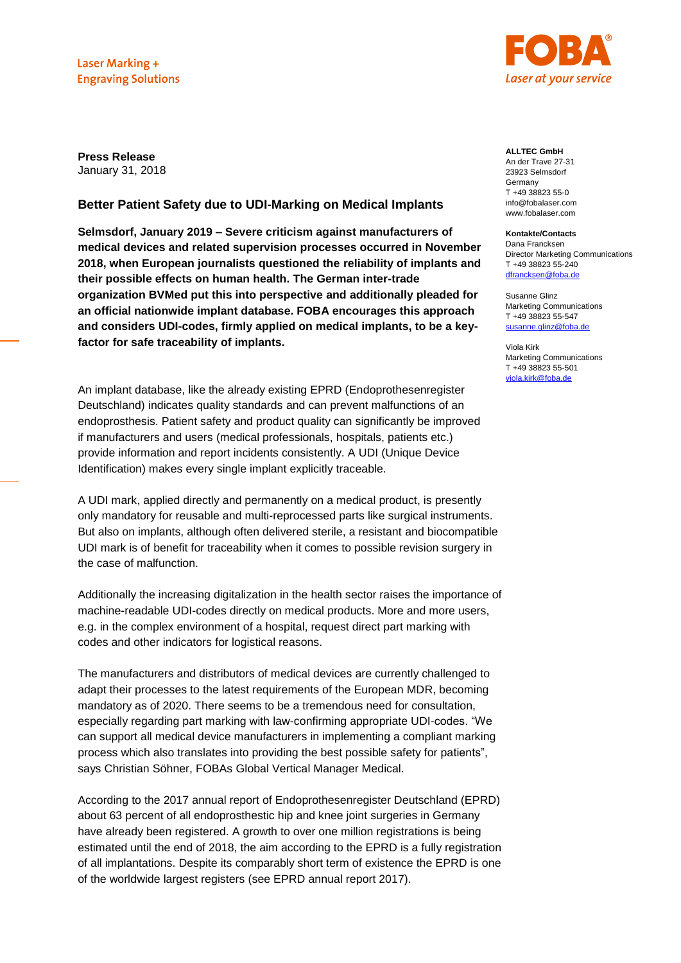

**Press Release** January 31, 2018

## **Better Patient Safety due to UDI-Marking on Medical Implants**

**Selmsdorf, January 2019 – Severe criticism against manufacturers of medical devices and related supervision processes occurred in November 2018, when European journalists questioned the reliability of implants and their possible effects on human health. The German inter-trade organization BVMed put this into perspective and additionally pleaded for an official nationwide implant database. FOBA encourages this approach and considers UDI-codes, firmly applied on medical implants, to be a keyfactor for safe traceability of implants.** 

An implant database, like the already existing EPRD (Endoprothesenregister Deutschland) indicates quality standards and can prevent malfunctions of an endoprosthesis. Patient safety and product quality can significantly be improved if manufacturers and users (medical professionals, hospitals, patients etc.) provide information and report incidents consistently. A UDI (Unique Device Identification) makes every single implant explicitly traceable.

A UDI mark, applied directly and permanently on a medical product, is presently only mandatory for reusable and multi-reprocessed parts like surgical instruments. But also on implants, although often delivered sterile, a resistant and biocompatible UDI mark is of benefit for traceability when it comes to possible revision surgery in the case of malfunction.

Additionally the increasing digitalization in the health sector raises the importance of machine-readable UDI-codes directly on medical products. More and more users, e.g. in the complex environment of a hospital, request direct part marking with codes and other indicators for logistical reasons.

The manufacturers and distributors of medical devices are currently challenged to adapt their processes to the latest requirements of the European MDR, becoming mandatory as of 2020. There seems to be a tremendous need for consultation, especially regarding part marking with law-confirming appropriate UDI-codes. "We can support all medical device manufacturers in implementing a compliant marking process which also translates into providing the best possible safety for patients", says Christian Söhner, FOBAs Global Vertical Manager Medical.

According to the 2017 annual report of Endoprothesenregister Deutschland (EPRD) about 63 percent of all endoprosthestic hip and knee joint surgeries in Germany have already been registered. A growth to over one million registrations is being estimated until the end of 2018, the aim according to the EPRD is a fully registration of all implantations. Despite its comparably short term of existence the EPRD is one of the worldwide largest registers (see EPRD annual report 2017).

**ALLTEC GmbH** An der Trave 27-31 23923 Selmsdorf **Germany** T +49 38823 55-0 info@fobalaser.com

### www.fobalaser.com **Kontakte/Contacts**

Dana Francksen Director Marketing Communications T +49 38823 55-240 [dfrancksen@foba.de](mailto:dfrancksen@foba.de)

Susanne Glinz Marketing Communications T +49 38823 55-547 [susanne.glinz@foba.de](mailto:susanne.glinz@foba.de)

Viola Kirk Marketing Communications T +49 38823 55-501 [viola.kirk@foba.de](mailto:viola.kirk@foba.de)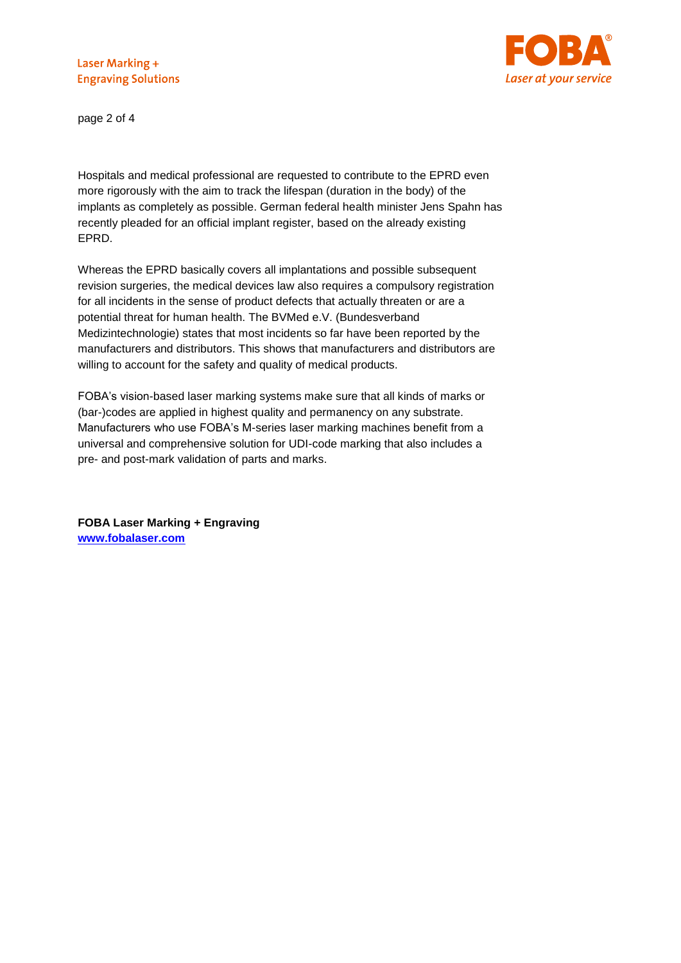

page 2 of 4

Hospitals and medical professional are requested to contribute to the EPRD even more rigorously with the aim to track the lifespan (duration in the body) of the implants as completely as possible. German federal health minister Jens Spahn has recently pleaded for an official implant register, based on the already existing EPRD.

Whereas the EPRD basically covers all implantations and possible subsequent revision surgeries, the medical devices law also requires a compulsory registration for all incidents in the sense of product defects that actually threaten or are a potential threat for human health. The BVMed e.V. (Bundesverband Medizintechnologie) states that most incidents so far have been reported by the manufacturers and distributors. This shows that manufacturers and distributors are willing to account for the safety and quality of medical products.

FOBA's vision-based laser marking systems make sure that all kinds of marks or (bar-)codes are applied in highest quality and permanency on any substrate. Manufacturers who use FOBA's M-series laser marking machines benefit from a universal and comprehensive solution for UDI-code marking that also includes a pre- and post-mark validation of parts and marks.

**FOBA Laser Marking + Engraving [www.fobalaser.com](http://www.fobalaser.com/)**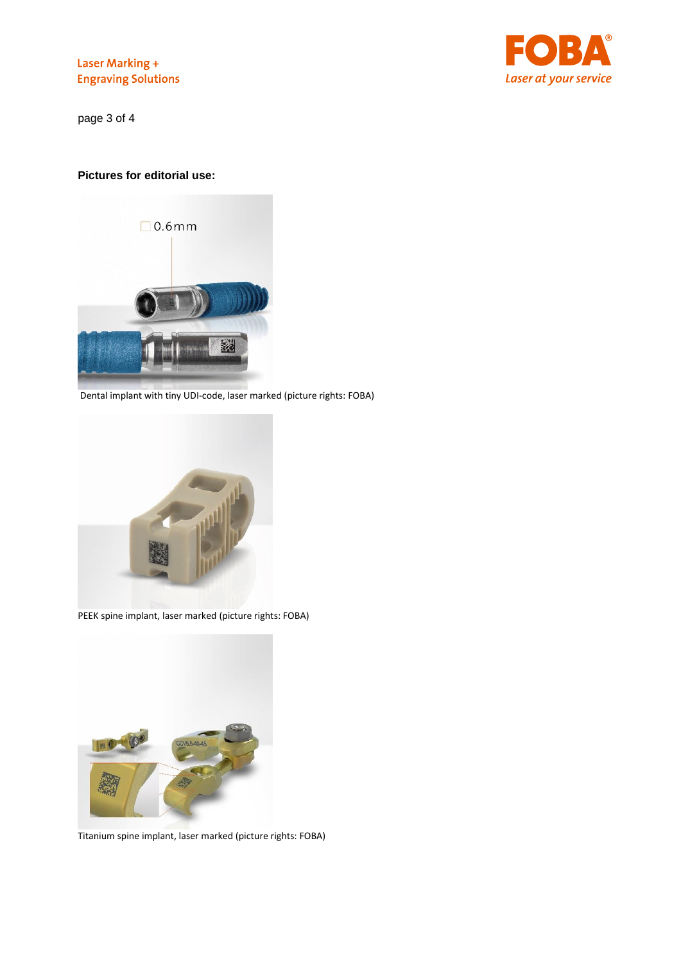

page 3 of 4

## **Pictures for editorial use:**



Dental implant with tiny UDI-code, laser marked (picture rights: FOBA)



PEEK spine implant, laser marked (picture rights: FOBA)



Titanium spine implant, laser marked (picture rights: FOBA)